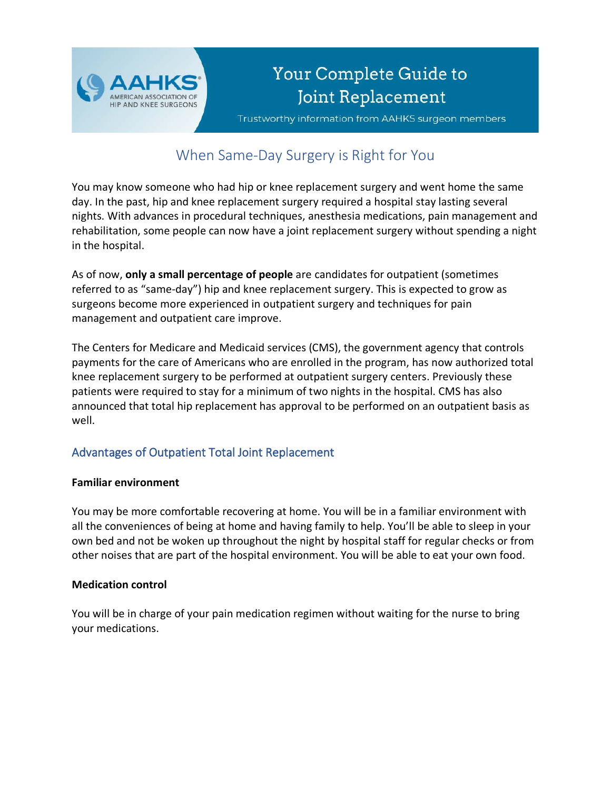

# Your Complete Guide to Joint Replacement

Trustworthy information from AAHKS surgeon members

# When Same-Day Surgery is Right for You

You may know someone who had hip or knee replacement surgery and went home the same day. In the past, hip and knee replacement surgery required a hospital stay lasting several nights. With advances in procedural techniques, anesthesia medications, pain management and rehabilitation, some people can now have a joint replacement surgery without spending a night in the hospital.

As of now, **only a small percentage of people** are candidates for outpatient (sometimes referred to as "same-day") hip and knee replacement surgery. This is expected to grow as surgeons become more experienced in outpatient surgery and techniques for pain management and outpatient care improve.

The Centers for Medicare and Medicaid services (CMS), the government agency that controls payments for the care of Americans who are enrolled in the program, has now authorized total knee replacement surgery to be performed at outpatient surgery centers. Previously these patients were required to stay for a minimum of two nights in the hospital. CMS has also announced that total hip replacement has approval to be performed on an outpatient basis as well.

# Advantages of Outpatient Total Joint Replacement

#### **Familiar environment**

You may be more comfortable recovering at home. You will be in a familiar environment with all the conveniences of being at home and having family to help. You'll be able to sleep in your own bed and not be woken up throughout the night by hospital staff for regular checks or from other noises that are part of the hospital environment. You will be able to eat your own food.

#### **Medication control**

You will be in charge of your pain medication regimen without waiting for the nurse to bring your medications.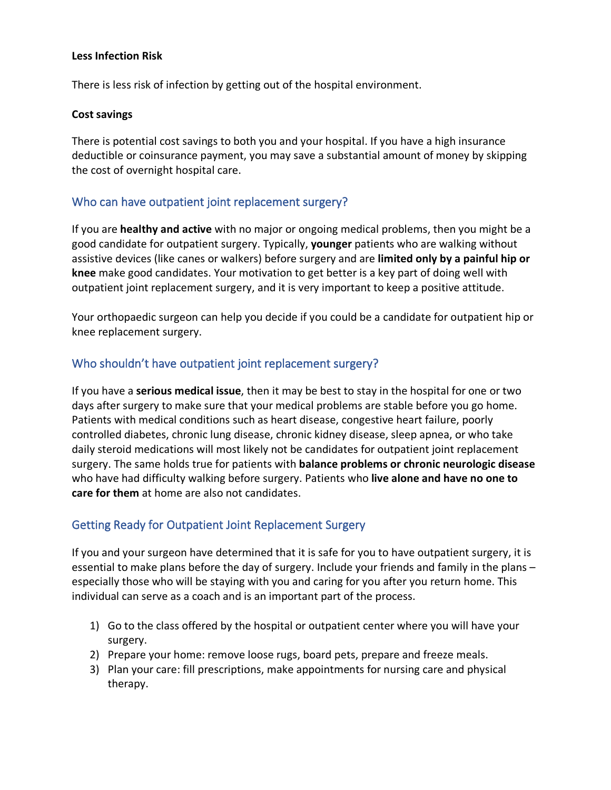#### **Less Infection Risk**

There is less risk of infection by getting out of the hospital environment.

#### **Cost savings**

There is potential cost savings to both you and your hospital. If you have a high insurance deductible or coinsurance payment, you may save a substantial amount of money by skipping the cost of overnight hospital care.

## Who can have outpatient joint replacement surgery?

If you are **healthy and active** with no major or ongoing medical problems, then you might be a good candidate for outpatient surgery. Typically, **younger** patients who are walking without assistive devices (like canes or walkers) before surgery and are **limited only by a painful hip or knee** make good candidates. Your motivation to get better is a key part of doing well with outpatient joint replacement surgery, and it is very important to keep a positive attitude.

Your orthopaedic surgeon can help you decide if you could be a candidate for outpatient hip or knee replacement surgery.

## Who shouldn't have outpatient joint replacement surgery?

If you have a **serious medical issue**, then it may be best to stay in the hospital for one or two days after surgery to make sure that your medical problems are stable before you go home. Patients with medical conditions such as heart disease, congestive heart failure, poorly controlled diabetes, chronic lung disease, chronic kidney disease, sleep apnea, or who take daily steroid medications will most likely not be candidates for outpatient joint replacement surgery. The same holds true for patients with **balance problems or chronic neurologic disease** who have had difficulty walking before surgery. Patients who **live alone and have no one to care for them** at home are also not candidates.

#### Getting Ready for Outpatient Joint Replacement Surgery

If you and your surgeon have determined that it is safe for you to have outpatient surgery, it is essential to make plans before the day of surgery. Include your friends and family in the plans – especially those who will be staying with you and caring for you after you return home. This individual can serve as a coach and is an important part of the process.

- 1) Go to the class offered by the hospital or outpatient center where you will have your surgery.
- 2) Prepare your home: remove loose rugs, board pets, prepare and freeze meals.
- 3) Plan your care: fill prescriptions, make appointments for nursing care and physical therapy.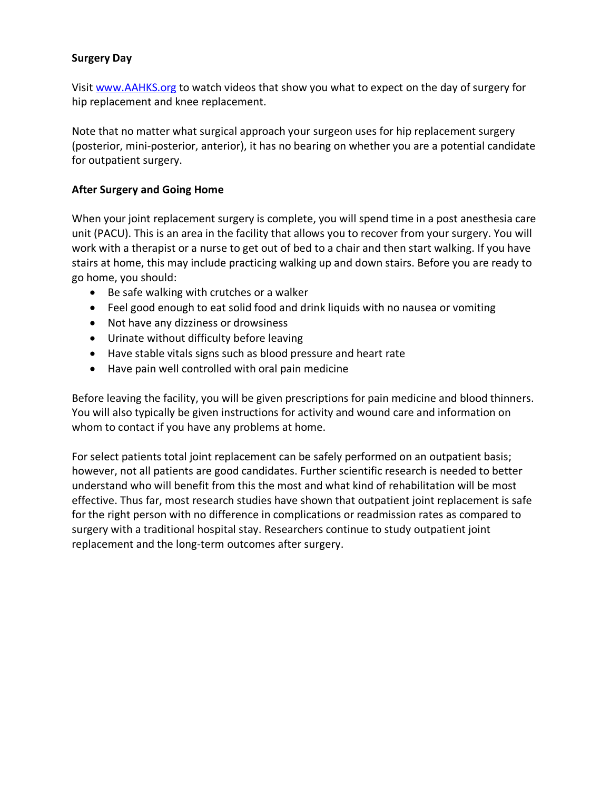#### **Surgery Day**

Visi[t www.AAHKS.org](http://www.aahks.org/) to watch videos that show you what to expect on the day of surgery for hip replacement and knee replacement.

Note that no matter what surgical approach your surgeon uses for hip replacement surgery (posterior, mini-posterior, anterior), it has no bearing on whether you are a potential candidate for outpatient surgery.

#### **After Surgery and Going Home**

When your joint replacement surgery is complete, you will spend time in a post anesthesia care unit (PACU). This is an area in the facility that allows you to recover from your surgery. You will work with a therapist or a nurse to get out of bed to a chair and then start walking. If you have stairs at home, this may include practicing walking up and down stairs. Before you are ready to go home, you should:

- Be safe walking with crutches or a walker
- Feel good enough to eat solid food and drink liquids with no nausea or vomiting
- Not have any dizziness or drowsiness
- Urinate without difficulty before leaving
- Have stable vitals signs such as blood pressure and heart rate
- Have pain well controlled with oral pain medicine

Before leaving the facility, you will be given prescriptions for pain medicine and blood thinners. You will also typically be given instructions for activity and wound care and information on whom to contact if you have any problems at home.

For select patients total joint replacement can be safely performed on an outpatient basis; however, not all patients are good candidates. Further scientific research is needed to better understand who will benefit from this the most and what kind of rehabilitation will be most effective. Thus far, most research studies have shown that outpatient joint replacement is safe for the right person with no difference in complications or readmission rates as compared to surgery with a traditional hospital stay. Researchers continue to study outpatient joint replacement and the long-term outcomes after surgery.